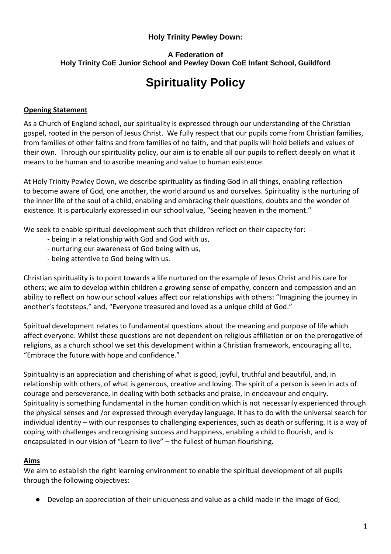#### **Holy Trinity Pewley Down:**

# **A Federation of Holy Trinity CoE Junior School and Pewley Down CoE Infant School, Guildford**

# **Spirituality Policy**

# **Opening Statement**

As a Church of England school, our spirituality is expressed through our understanding of the Christian gospel, rooted in the person of Jesus Christ. We fully respect that our pupils come from Christian families, from families of other faiths and from families of no faith, and that pupils will hold beliefs and values of their own. Through our spirituality policy, our aim is to enable all our pupils to reflect deeply on what it means to be human and to ascribe meaning and value to human existence.

At Holy Trinity Pewley Down, we describe spirituality as finding God in all things, enabling reflection to become aware of God, one another, the world around us and ourselves. Spirituality is the nurturing of the inner life of the soul of a child, enabling and embracing their questions, doubts and the wonder of existence. It is particularly expressed in our school value, "Seeing heaven in the moment."

We seek to enable spiritual development such that children reflect on their capacity for:

- being in a relationship with God and God with us,
- nurturing our awareness of God being with us,
- being attentive to God being with us.

Christian spirituality is to point towards a life nurtured on the example of Jesus Christ and his care for others; we aim to develop within children a growing sense of empathy, concern and compassion and an ability to reflect on how our school values affect our relationships with others: "Imagining the journey in another's footsteps," and, "Everyone treasured and loved as a unique child of God."

Spiritual development relates to fundamental questions about the meaning and purpose of life which affect everyone. Whilst these questions are not dependent on religious affiliation or on the prerogative of religions, as a church school we set this development within a Christian framework, encouraging all to, "Embrace the future with hope and confidence."

Spirituality is an appreciation and cherishing of what is good, joyful, truthful and beautiful, and, in relationship with others, of what is generous, creative and loving. The spirit of a person is seen in acts of courage and perseverance, in dealing with both setbacks and praise, in endeavour and enquiry. Spirituality is something fundamental in the human condition which is not necessarily experienced through the physical senses and /or expressed through everyday language. It has to do with the universal search for individual identity – with our responses to challenging experiences, such as death or suffering. It is a way of coping with challenges and recognising success and happiness, enabling a child to flourish, and is encapsulated in our vision of "Learn to live" – the fullest of human flourishing.

# **Aims**

We aim to establish the right learning environment to enable the spiritual development of all pupils through the following objectives:

● Develop an appreciation of their uniqueness and value as a child made in the image of God;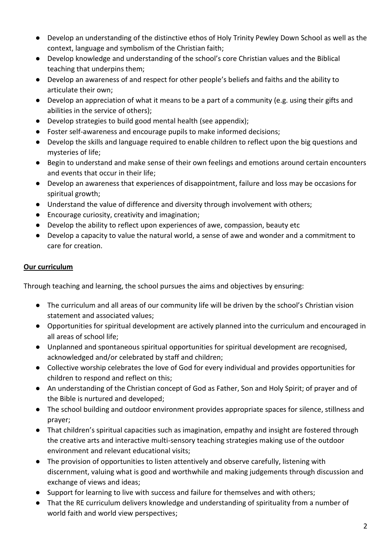- Develop an understanding of the distinctive ethos of Holy Trinity Pewley Down School as well as the context, language and symbolism of the Christian faith;
- Develop knowledge and understanding of the school's core Christian values and the Biblical teaching that underpins them;
- Develop an awareness of and respect for other people's beliefs and faiths and the ability to articulate their own;
- Develop an appreciation of what it means to be a part of a community (e.g. using their gifts and abilities in the service of others);
- Develop strategies to build good mental health (see appendix);
- Foster self-awareness and encourage pupils to make informed decisions;
- Develop the skills and language required to enable children to reflect upon the big questions and mysteries of life;
- Begin to understand and make sense of their own feelings and emotions around certain encounters and events that occur in their life;
- Develop an awareness that experiences of disappointment, failure and loss may be occasions for spiritual growth;
- Understand the value of difference and diversity through involvement with others;
- Encourage curiosity, creativity and imagination;
- Develop the ability to reflect upon experiences of awe, compassion, beauty etc
- Develop a capacity to value the natural world, a sense of awe and wonder and a commitment to care for creation.

# **Our curriculum**

Through teaching and learning, the school pursues the aims and objectives by ensuring:

- The curriculum and all areas of our community life will be driven by the school's Christian vision statement and associated values;
- Opportunities for spiritual development are actively planned into the curriculum and encouraged in all areas of school life;
- Unplanned and spontaneous spiritual opportunities for spiritual development are recognised, acknowledged and/or celebrated by staff and children;
- Collective worship celebrates the love of God for every individual and provides opportunities for children to respond and reflect on this;
- An understanding of the Christian concept of God as Father, Son and Holy Spirit; of prayer and of the Bible is nurtured and developed;
- The school building and outdoor environment provides appropriate spaces for silence, stillness and prayer;
- That children's spiritual capacities such as imagination, empathy and insight are fostered through the creative arts and interactive multi-sensory teaching strategies making use of the outdoor environment and relevant educational visits;
- The provision of opportunities to listen attentively and observe carefully, listening with discernment, valuing what is good and worthwhile and making judgements through discussion and exchange of views and ideas;
- Support for learning to live with success and failure for themselves and with others;
- That the RE curriculum delivers knowledge and understanding of spirituality from a number of world faith and world view perspectives;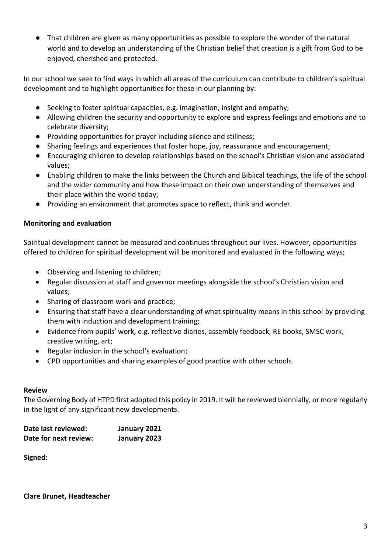● That children are given as many opportunities as possible to explore the wonder of the natural world and to develop an understanding of the Christian belief that creation is a gift from God to be enjoyed, cherished and protected.

In our school we seek to find ways in which all areas of the curriculum can contribute to children's spiritual development and to highlight opportunities for these in our planning by:

- Seeking to foster spiritual capacities, e.g. imagination, insight and empathy;
- Allowing children the security and opportunity to explore and express feelings and emotions and to celebrate diversity;
- Providing opportunities for prayer including silence and stillness;
- Sharing feelings and experiences that foster hope, joy, reassurance and encouragement;
- Encouraging children to develop relationships based on the school's Christian vision and associated values;
- Enabling children to make the links between the Church and Biblical teachings, the life of the school and the wider community and how these impact on their own understanding of themselves and their place within the world today;
- Providing an environment that promotes space to reflect, think and wonder.

#### **Monitoring and evaluation**

Spiritual development cannot be measured and continues throughout our lives. However, opportunities offered to children for spiritual development will be monitored and evaluated in the following ways;

- Observing and listening to children;
- Regular discussion at staff and governor meetings alongside the school's Christian vision and values;
- Sharing of classroom work and practice;
- Ensuring that staff have a clear understanding of what spirituality means in this school by providing them with induction and development training;
- Evidence from pupils' work, e.g. reflective diaries, assembly feedback, RE books, SMSC work, creative writing, art;
- Regular inclusion in the school's evaluation;
- CPD opportunities and sharing examples of good practice with other schools.

#### **Review**

The Governing Body of HTPD first adopted this policy in 2019. It will be reviewed biennially, or more regularly in the light of any significant new developments.

| Date last reviewed:   | January 2021 |
|-----------------------|--------------|
| Date for next review: | January 2023 |

**Signed:**

**Clare Brunet, Headteacher**